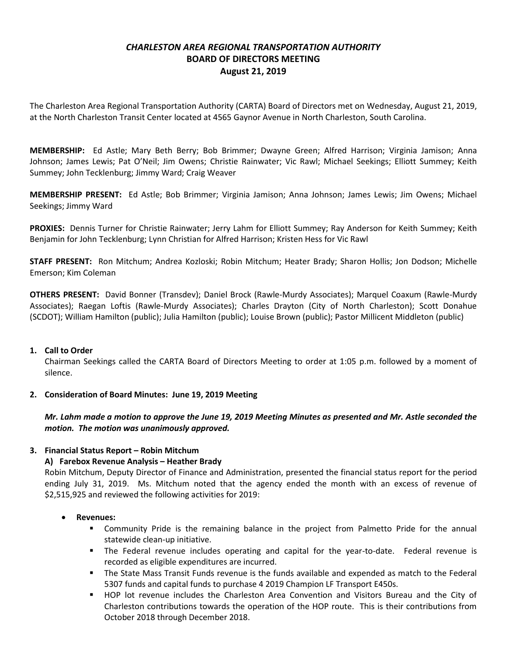# *CHARLESTON AREA REGIONAL TRANSPORTATION AUTHORITY* **BOARD OF DIRECTORS MEETING August 21, 2019**

The Charleston Area Regional Transportation Authority (CARTA) Board of Directors met on Wednesday, August 21, 2019, at the North Charleston Transit Center located at 4565 Gaynor Avenue in North Charleston, South Carolina.

**MEMBERSHIP:** Ed Astle; Mary Beth Berry; Bob Brimmer; Dwayne Green; Alfred Harrison; Virginia Jamison; Anna Johnson; James Lewis; Pat O'Neil; Jim Owens; Christie Rainwater; Vic Rawl; Michael Seekings; Elliott Summey; Keith Summey; John Tecklenburg; Jimmy Ward; Craig Weaver

**MEMBERSHIP PRESENT:** Ed Astle; Bob Brimmer; Virginia Jamison; Anna Johnson; James Lewis; Jim Owens; Michael Seekings; Jimmy Ward

**PROXIES:** Dennis Turner for Christie Rainwater; Jerry Lahm for Elliott Summey; Ray Anderson for Keith Summey; Keith Benjamin for John Tecklenburg; Lynn Christian for Alfred Harrison; Kristen Hess for Vic Rawl

**STAFF PRESENT:** Ron Mitchum; Andrea Kozloski; Robin Mitchum; Heater Brady; Sharon Hollis; Jon Dodson; Michelle Emerson; Kim Coleman

**OTHERS PRESENT:** David Bonner (Transdev); Daniel Brock (Rawle-Murdy Associates); Marquel Coaxum (Rawle-Murdy Associates); Raegan Loftis (Rawle-Murdy Associates); Charles Drayton (City of North Charleston); Scott Donahue (SCDOT); William Hamilton (public); Julia Hamilton (public); Louise Brown (public); Pastor Millicent Middleton (public)

### **1. Call to Order**

Chairman Seekings called the CARTA Board of Directors Meeting to order at 1:05 p.m. followed by a moment of silence.

### **2. Consideration of Board Minutes: June 19, 2019 Meeting**

*Mr. Lahm made a motion to approve the June 19, 2019 Meeting Minutes as presented and Mr. Astle seconded the motion. The motion was unanimously approved.*

## **3. Financial Status Report – Robin Mitchum**

### **A) Farebox Revenue Analysis – Heather Brady**

Robin Mitchum, Deputy Director of Finance and Administration, presented the financial status report for the period ending July 31, 2019. Ms. Mitchum noted that the agency ended the month with an excess of revenue of \$2,515,925 and reviewed the following activities for 2019:

### **Revenues:**

- Community Pride is the remaining balance in the project from Palmetto Pride for the annual statewide clean-up initiative.
- The Federal revenue includes operating and capital for the year-to-date. Federal revenue is recorded as eligible expenditures are incurred.
- The State Mass Transit Funds revenue is the funds available and expended as match to the Federal 5307 funds and capital funds to purchase 4 2019 Champion LF Transport E450s.
- HOP lot revenue includes the Charleston Area Convention and Visitors Bureau and the City of Charleston contributions towards the operation of the HOP route. This is their contributions from October 2018 through December 2018.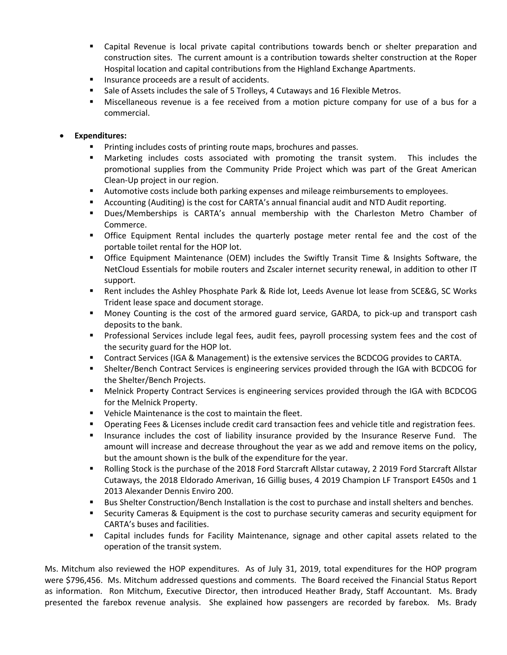- Capital Revenue is local private capital contributions towards bench or shelter preparation and construction sites. The current amount is a contribution towards shelter construction at the Roper Hospital location and capital contributions from the Highland Exchange Apartments.
- **Insurance proceeds are a result of accidents.**
- **Sale of Assets includes the sale of 5 Trolleys, 4 Cutaways and 16 Flexible Metros.**
- Miscellaneous revenue is a fee received from a motion picture company for use of a bus for a commercial.

### **Expenditures:**

- Printing includes costs of printing route maps, brochures and passes.
- Marketing includes costs associated with promoting the transit system. This includes the promotional supplies from the Community Pride Project which was part of the Great American Clean-Up project in our region.
- **Automotive costs include both parking expenses and mileage reimbursements to employees.**
- Accounting (Auditing) is the cost for CARTA's annual financial audit and NTD Audit reporting.
- Dues/Memberships is CARTA's annual membership with the Charleston Metro Chamber of Commerce.
- Office Equipment Rental includes the quarterly postage meter rental fee and the cost of the portable toilet rental for the HOP lot.
- Office Equipment Maintenance (OEM) includes the Swiftly Transit Time & Insights Software, the NetCloud Essentials for mobile routers and Zscaler internet security renewal, in addition to other IT support.
- Rent includes the Ashley Phosphate Park & Ride lot, Leeds Avenue lot lease from SCE&G, SC Works Trident lease space and document storage.
- **Money Counting is the cost of the armored guard service, GARDA, to pick-up and transport cash** deposits to the bank.
- **Professional Services include legal fees, audit fees, payroll processing system fees and the cost of** the security guard for the HOP lot.
- Contract Services (IGA & Management) is the extensive services the BCDCOG provides to CARTA.
- Shelter/Bench Contract Services is engineering services provided through the IGA with BCDCOG for the Shelter/Bench Projects.
- Melnick Property Contract Services is engineering services provided through the IGA with BCDCOG for the Melnick Property.
- **•** Vehicle Maintenance is the cost to maintain the fleet.
- **Dearating Fees & Licenses include credit card transaction fees and vehicle title and registration fees.**
- **Insurance includes the cost of liability insurance provided by the Insurance Reserve Fund.** The amount will increase and decrease throughout the year as we add and remove items on the policy, but the amount shown is the bulk of the expenditure for the year.
- **BULA 2018 INCO STARS IS the purchase of the 2018 Ford Starcraft Allstar cutaway, 2 2019 Ford Starcraft Allstar** Cutaways, the 2018 Eldorado Amerivan, 16 Gillig buses, 4 2019 Champion LF Transport E450s and 1 2013 Alexander Dennis Enviro 200.
- **Bus Shelter Construction/Bench Installation is the cost to purchase and install shelters and benches.**
- Security Cameras & Equipment is the cost to purchase security cameras and security equipment for CARTA's buses and facilities.
- Capital includes funds for Facility Maintenance, signage and other capital assets related to the operation of the transit system.

Ms. Mitchum also reviewed the HOP expenditures. As of July 31, 2019, total expenditures for the HOP program were \$796,456. Ms. Mitchum addressed questions and comments. The Board received the Financial Status Report as information. Ron Mitchum, Executive Director, then introduced Heather Brady, Staff Accountant. Ms. Brady presented the farebox revenue analysis. She explained how passengers are recorded by farebox. Ms. Brady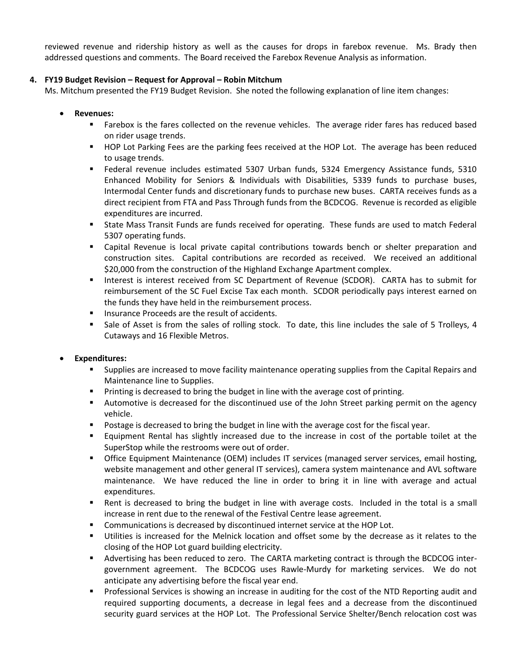reviewed revenue and ridership history as well as the causes for drops in farebox revenue. Ms. Brady then addressed questions and comments. The Board received the Farebox Revenue Analysis as information.

### **4. FY19 Budget Revision – Request for Approval – Robin Mitchum**

Ms. Mitchum presented the FY19 Budget Revision. She noted the following explanation of line item changes:

- **Revenues:**
	- Farebox is the fares collected on the revenue vehicles. The average rider fares has reduced based on rider usage trends.
	- **HOP Lot Parking Fees are the parking fees received at the HOP Lot. The average has been reduced** to usage trends.
	- Federal revenue includes estimated 5307 Urban funds, 5324 Emergency Assistance funds, 5310 Enhanced Mobility for Seniors & Individuals with Disabilities, 5339 funds to purchase buses, Intermodal Center funds and discretionary funds to purchase new buses. CARTA receives funds as a direct recipient from FTA and Pass Through funds from the BCDCOG. Revenue is recorded as eligible expenditures are incurred.
	- State Mass Transit Funds are funds received for operating. These funds are used to match Federal 5307 operating funds.
	- Capital Revenue is local private capital contributions towards bench or shelter preparation and construction sites. Capital contributions are recorded as received. We received an additional \$20,000 from the construction of the Highland Exchange Apartment complex.
	- **Interest is interest received from SC Department of Revenue (SCDOR). CARTA has to submit for** reimbursement of the SC Fuel Excise Tax each month. SCDOR periodically pays interest earned on the funds they have held in the reimbursement process.
	- **Insurance Proceeds are the result of accidents.**
	- **Sale of Asset is from the sales of rolling stock. To date, this line includes the sale of 5 Trolleys, 4** Cutaways and 16 Flexible Metros.

### **Expenditures:**

- Supplies are increased to move facility maintenance operating supplies from the Capital Repairs and Maintenance line to Supplies.
- **Printing is decreased to bring the budget in line with the average cost of printing.**
- Automotive is decreased for the discontinued use of the John Street parking permit on the agency vehicle.
- **Postage is decreased to bring the budget in line with the average cost for the fiscal year.**
- Equipment Rental has slightly increased due to the increase in cost of the portable toilet at the SuperStop while the restrooms were out of order.
- **Demographic Equipment Maintenance (OEM) includes IT services (managed server services, email hosting,** website management and other general IT services), camera system maintenance and AVL software maintenance. We have reduced the line in order to bring it in line with average and actual expenditures.
- Rent is decreased to bring the budget in line with average costs. Included in the total is a small increase in rent due to the renewal of the Festival Centre lease agreement.
- Communications is decreased by discontinued internet service at the HOP Lot.
- Utilities is increased for the Melnick location and offset some by the decrease as it relates to the closing of the HOP Lot guard building electricity.
- Advertising has been reduced to zero. The CARTA marketing contract is through the BCDCOG intergovernment agreement. The BCDCOG uses Rawle-Murdy for marketing services. We do not anticipate any advertising before the fiscal year end.
- **Professional Services is showing an increase in auditing for the cost of the NTD Reporting audit and** required supporting documents, a decrease in legal fees and a decrease from the discontinued security guard services at the HOP Lot. The Professional Service Shelter/Bench relocation cost was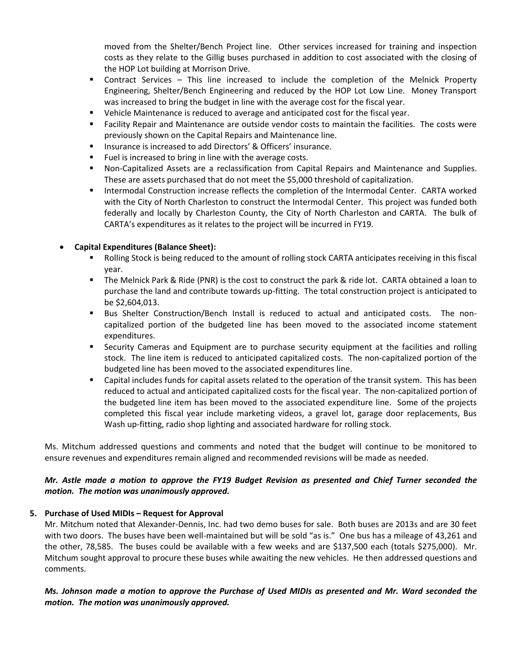moved from the Shelter/Bench Project line. Other services increased for training and inspection costs as they relate to the Gillig buses purchased in addition to cost associated with the closing of the HOP Lot building at Morrison Drive.

- Contract Services This line increased to include the completion of the Melnick Property Engineering, Shelter/Bench Engineering and reduced by the HOP Lot Low Line. Money Transport was increased to bring the budget in line with the average cost for the fiscal year.
- Vehicle Maintenance is reduced to average and anticipated cost for the fiscal year.
- Facility Repair and Maintenance are outside vendor costs to maintain the facilities. The costs were previously shown on the Capital Repairs and Maintenance line.
- **Insurance is increased to add Directors' & Officers' insurance.**
- Fuel is increased to bring in line with the average costs.
- Non-Capitalized Assets are a reclassification from Capital Repairs and Maintenance and Supplies. These are assets purchased that do not meet the \$5,000 threshold of capitalization.
- **Intermodal Construction increase reflects the completion of the Intermodal Center. CARTA worked** with the City of North Charleston to construct the Intermodal Center. This project was funded both federally and locally by Charleston County, the City of North Charleston and CARTA. The bulk of CARTA's expenditures as it relates to the project will be incurred in FY19.

## **Capital Expenditures (Balance Sheet):**

- **Rolling Stock is being reduced to the amount of rolling stock CARTA anticipates receiving in this fiscal** year.
- The Melnick Park & Ride (PNR) is the cost to construct the park & ride lot. CARTA obtained a loan to purchase the land and contribute towards up-fitting. The total construction project is anticipated to be \$2,604,013.
- Bus Shelter Construction/Bench Install is reduced to actual and anticipated costs. The noncapitalized portion of the budgeted line has been moved to the associated income statement expenditures.
- Security Cameras and Equipment are to purchase security equipment at the facilities and rolling stock. The line item is reduced to anticipated capitalized costs. The non-capitalized portion of the budgeted line has been moved to the associated expenditures line.
- Capital includes funds for capital assets related to the operation of the transit system. This has been reduced to actual and anticipated capitalized costs for the fiscal year. The non-capitalized portion of the budgeted line item has been moved to the associated expenditure line. Some of the projects completed this fiscal year include marketing videos, a gravel lot, garage door replacements, Bus Wash up-fitting, radio shop lighting and associated hardware for rolling stock.

Ms. Mitchum addressed questions and comments and noted that the budget will continue to be monitored to ensure revenues and expenditures remain aligned and recommended revisions will be made as needed.

## *Mr. Astle made a motion to approve the FY19 Budget Revision as presented and Chief Turner seconded the motion. The motion was unanimously approved.*

## **5. Purchase of Used MIDIs – Request for Approval**

Mr. Mitchum noted that Alexander-Dennis, Inc. had two demo buses for sale. Both buses are 2013s and are 30 feet with two doors. The buses have been well-maintained but will be sold "as is." One bus has a mileage of 43,261 and the other, 78,585. The buses could be available with a few weeks and are \$137,500 each (totals \$275,000). Mr. Mitchum sought approval to procure these buses while awaiting the new vehicles. He then addressed questions and comments.

## *Ms. Johnson made a motion to approve the Purchase of Used MIDIs as presented and Mr. Ward seconded the motion. The motion was unanimously approved.*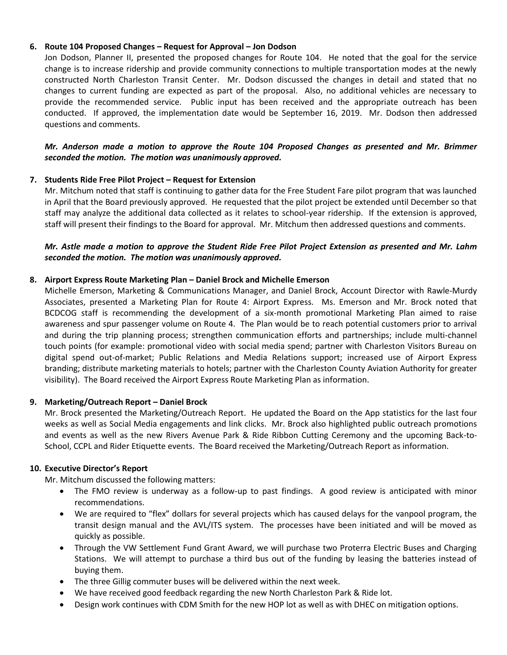### **6. Route 104 Proposed Changes – Request for Approval – Jon Dodson**

Jon Dodson, Planner II, presented the proposed changes for Route 104. He noted that the goal for the service change is to increase ridership and provide community connections to multiple transportation modes at the newly constructed North Charleston Transit Center. Mr. Dodson discussed the changes in detail and stated that no changes to current funding are expected as part of the proposal. Also, no additional vehicles are necessary to provide the recommended service. Public input has been received and the appropriate outreach has been conducted. If approved, the implementation date would be September 16, 2019. Mr. Dodson then addressed questions and comments.

*Mr. Anderson made a motion to approve the Route 104 Proposed Changes as presented and Mr. Brimmer seconded the motion. The motion was unanimously approved.*

### **7. Students Ride Free Pilot Project – Request for Extension**

Mr. Mitchum noted that staff is continuing to gather data for the Free Student Fare pilot program that was launched in April that the Board previously approved. He requested that the pilot project be extended until December so that staff may analyze the additional data collected as it relates to school-year ridership. If the extension is approved, staff will present their findings to the Board for approval. Mr. Mitchum then addressed questions and comments.

### *Mr. Astle made a motion to approve the Student Ride Free Pilot Project Extension as presented and Mr. Lahm seconded the motion. The motion was unanimously approved.*

### **8. Airport Express Route Marketing Plan – Daniel Brock and Michelle Emerson**

Michelle Emerson, Marketing & Communications Manager, and Daniel Brock, Account Director with Rawle-Murdy Associates, presented a Marketing Plan for Route 4: Airport Express. Ms. Emerson and Mr. Brock noted that BCDCOG staff is recommending the development of a six-month promotional Marketing Plan aimed to raise awareness and spur passenger volume on Route 4. The Plan would be to reach potential customers prior to arrival and during the trip planning process; strengthen communication efforts and partnerships; include multi-channel touch points (for example: promotional video with social media spend; partner with Charleston Visitors Bureau on digital spend out-of-market; Public Relations and Media Relations support; increased use of Airport Express branding; distribute marketing materials to hotels; partner with the Charleston County Aviation Authority for greater visibility). The Board received the Airport Express Route Marketing Plan as information.

### **9. Marketing/Outreach Report – Daniel Brock**

Mr. Brock presented the Marketing/Outreach Report. He updated the Board on the App statistics for the last four weeks as well as Social Media engagements and link clicks. Mr. Brock also highlighted public outreach promotions and events as well as the new Rivers Avenue Park & Ride Ribbon Cutting Ceremony and the upcoming Back-to-School, CCPL and Rider Etiquette events. The Board received the Marketing/Outreach Report as information.

### **10. Executive Director's Report**

Mr. Mitchum discussed the following matters:

- The FMO review is underway as a follow-up to past findings. A good review is anticipated with minor recommendations.
- We are required to "flex" dollars for several projects which has caused delays for the vanpool program, the transit design manual and the AVL/ITS system. The processes have been initiated and will be moved as quickly as possible.
- Through the VW Settlement Fund Grant Award, we will purchase two Proterra Electric Buses and Charging Stations. We will attempt to purchase a third bus out of the funding by leasing the batteries instead of buying them.
- The three Gillig commuter buses will be delivered within the next week.
- We have received good feedback regarding the new North Charleston Park & Ride lot.
- Design work continues with CDM Smith for the new HOP lot as well as with DHEC on mitigation options.